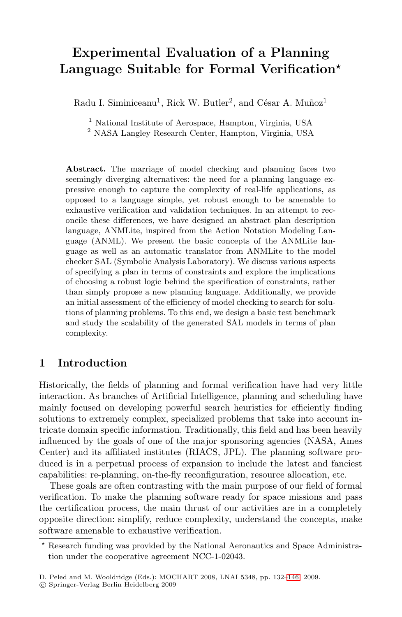# **Experimental Evaluation of a Planning Language Suitable for Formal Verification***-*

Radu I. Siminiceanu<sup>1</sup>, Rick W. Butler<sup>2</sup>, and César A. Muñoz<sup>1</sup>

<sup>1</sup> National Institute of Aerospace, Hampton, Virginia, USA

<sup>2</sup> NASA Langley Research Center, Hampton, Virginia, USA

**Abstract.** The marriage of model checking and planning faces two seemingly diverging alternatives: the need for a planning language expressive enough to capture the complexity of real-life applications, as opposed to a language simple, yet robust enough to be amenable to exhaustive verification and validation techniques. In an attempt to reconcile these differences, we have designed an abstract plan description language, ANMLite, inspired from the Action Notation Modeling Language (ANML). We present the basic concepts of the ANMLite language as well as an automatic translator from ANMLite to the model checker SAL (Symbolic Analysis Laboratory). We discuss various aspects of specifying a plan in terms of constraints and explore the implications of choosing a robust logic behind the specification of constraints, rather than simply propose a new planning language. Additionally, we provide an initial assessment of the efficiency of model checking to search for solutions of planning problems. To this end, we design a basic test benchmark and study the scalability of the generated SAL models in terms of plan complexity.

## **1 Introduction**

Historically, the fields of planning and formal verification have had very little interaction. As branches of Artificial Intelligence, planning and scheduling have mainly focused on developing powerful search heuristics for efficiently finding solutions to extremely complex, specialized problems that take into account intricate domain specific information. Traditionally, this field and has been heavily influenced by the goals of one of the major sponsoring agencies (NASA, Ames Center) and its affiliated institutes (RIACS, JPL). The planning software produced is in a perpetual process of expansion to include the latest and fanciest capabilities: re-planning, on-the-fly reconfiguration, resource allocation, etc.

These goals are often contrasting with the main purpose of our field of formal verification. To make the planning software ready for space missions and pass the certification process, the main thrust of our activities are in a completely opposite direction: simplify, reduce complexity, understand the concepts, make software amenable to exhaustive verification.

<sup>-</sup> Research funding was provided by the National Aeronautics and Space Administration under the cooperative agreement NCC-1-02043.

D. Peled and M. Wooldridge (Eds.): MOCHART 2008, LNAI 5348, pp. 132[–146,](#page-14-0) 2009.

<sup>-</sup>c Springer-Verlag Berlin Heidelberg 2009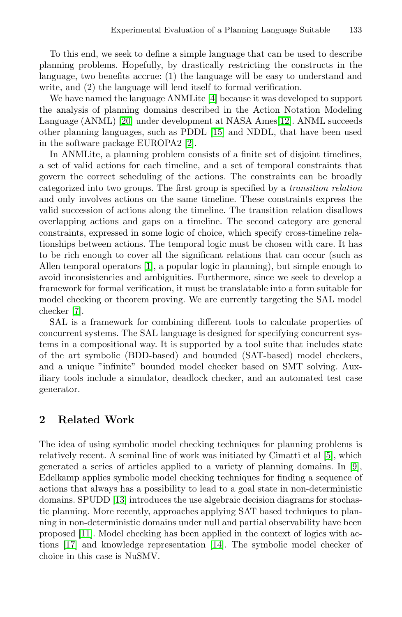To this end, we seek to define a simple language that can be used to describe planning problems. Hopefully, by drastically restricting the constructs in the language, two benefits accrue: (1) the language will be easy to understand and write, and (2) the language will lend itself to formal verification.

We have named the language ANMLite [\[4\]](#page-14-1) because it was developed to support the analysis of planning domains described in the Action Notation Modeling Language (ANML) [\[20\]](#page-14-2) under development at NASA Ames[\[12\]](#page-14-3). ANML succeeds other planning languages, such as PDDL [\[15\]](#page-14-4) and NDDL, that have been used in the software package EUROPA2 [\[2\]](#page-14-5).

In ANMLite, a planning problem consists of a finite set of disjoint timelines, a set of valid actions for each timeline, and a set of temporal constraints that govern the correct scheduling of the actions. The constraints can be broadly categorized into two groups. The first group is specified by a *transition relation* and only involves actions on the same timeline. These constraints express the valid succession of actions along the timeline. The transition relation disallows overlapping actions and gaps on a timeline. The second category are general constraints, expressed in some logic of choice, which specify cross-timeline relationships between actions. The temporal logic must be chosen with care. It has to be rich enough to cover all the significant relations that can occur (such as Allen temporal operators [\[1\]](#page-14-6), a popular logic in planning), but simple enough to avoid inconsistencies and ambiguities. Furthermore, since we seek to develop a framework for formal verification, it must be translatable into a form suitable for model checking or theorem proving. We are currently targeting the SAL model checker [\[7\]](#page-14-7).

SAL is a framework for combining different tools to calculate properties of concurrent systems. The SAL language is designed for specifying concurrent systems in a compositional way. It is supported by a tool suite that includes state of the art symbolic (BDD-based) and bounded (SAT-based) model checkers, and a unique "infinite" bounded model checker based on SMT solving. Auxiliary tools include a simulator, deadlock checker, and an automated test case generator.

## **2 Related Work**

The idea of using symbolic model checking techniques for planning problems is relatively recent. A seminal line of work was initiated by Cimatti et al [\[5\]](#page-14-8), which generated a series of articles applied to a variety of planning domains. In [\[9\]](#page-14-9), Edelkamp applies symbolic model checking techniques for finding a sequence of actions that always has a possibility to lead to a goal state in non-deterministic domains. SPUDD [\[13\]](#page-14-10) introduces the use algebraic decision diagrams for stochastic planning. More recently, approaches applying SAT based techniques to planning in non-deterministic domains under null and partial observability have been proposed [\[11\]](#page-14-11). Model checking has been applied in the context of logics with actions [\[17\]](#page-14-12) and knowledge representation [\[14\]](#page-14-13). The symbolic model checker of choice in this case is NuSMV.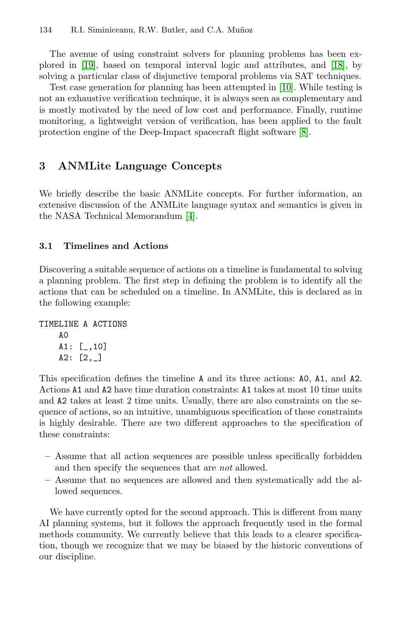The avenue of using constraint solvers for planning problems has been explored in [\[19\]](#page-14-14), based on temporal interval logic and attributes, and [\[18\]](#page-14-15), by solving a particular class of disjunctive temporal problems via SAT techniques.

Test case generation for planning has been attempted in [\[10\]](#page-14-16). While testing is not an exhaustive verification technique, it is always seen as complementary and is mostly motivated by the need of low cost and performance. Finally, runtime monitoring, a lightweight version of verification, has been applied to the fault protection engine of the Deep-Impact spacecraft flight software [\[8\]](#page-14-17).

## **3 ANMLite Language Concepts**

We briefly describe the basic ANMLite concepts. For further information, an extensive discussion of the ANMLite language syntax and semantics is given in the NASA Technical Memorandum [\[4\]](#page-14-1).

## **3.1 Timelines and Actions**

Discovering a suitable sequence of actions on a timeline is fundamental to solving a planning problem. The first step in defining the problem is to identify all the actions that can be scheduled on a timeline. In ANMLite, this is declared as in the following example:

```
TIMELINE A ACTIONS
  A0
  A1: [_,10]
  A2: [2, 1]
```
This specification defines the timeline A and its three actions: A0, A1, and A2. Actions A1 and A2 have time duration constraints: A1 takes at most 10 time units and A2 takes at least 2 time units. Usually, there are also constraints on the sequence of actions, so an intuitive, unambiguous specification of these constraints is highly desirable. There are two different approaches to the specification of these constraints:

- **–** Assume that all action sequences are possible unless specifically forbidden and then specify the sequences that are *not* allowed.
- **–** Assume that no sequences are allowed and then systematically add the allowed sequences.

We have currently opted for the second approach. This is different from many AI planning systems, but it follows the approach frequently used in the formal methods community. We currently believe that this leads to a clearer specification, though we recognize that we may be biased by the historic conventions of our discipline.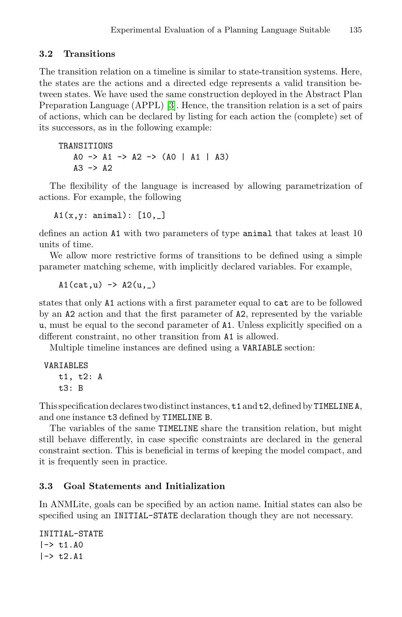## **3.2 Transitions**

The transition relation on a timeline is similar to state-transition systems. Here, the states are the actions and a directed edge represents a valid transition between states. We have used the same construction deployed in the Abstract Plan Preparation Language (APPL) [\[3\]](#page-14-18). Hence, the transition relation is a set of pairs of actions, which can be declared by listing for each action the (complete) set of its successors, as in the following example:

```
TRANSITIONS
   A0 \rightarrow A1 \rightarrow A2 \rightarrow (A0 | A1 | A3)
  A3 \rightarrow A2
```
The flexibility of the language is increased by allowing parametrization of actions. For example, the following

 $A1(x, y: animal): [10, ]$ 

defines an action A1 with two parameters of type animal that takes at least 10 units of time.

We allow more restrictive forms of transitions to be defined using a simple parameter matching scheme, with implicitly declared variables. For example,

 $A1(cat,u) \rightarrow A2(u, ...)$ 

states that only A1 actions with a first parameter equal to cat are to be followed by an A2 action and that the first parameter of A2, represented by the variable u, must be equal to the second parameter of A1. Unless explicitly specified on a different constraint, no other transition from A1 is allowed.

Multiple timeline instances are defined using a VARIABLE section:

VARIABLES t1, t2: A t3: B

This specification declarestwo distinctinstances, t1 andt2, defined by TIMELINE A, and one instance t3 defined by TIMELINE B.

The variables of the same TIMELINE share the transition relation, but might still behave differently, in case specific constraints are declared in the general constraint section. This is beneficial in terms of keeping the model compact, and it is frequently seen in practice.

## **3.3 Goal Statements and Initialization**

In ANMLite, goals can be specified by an action name. Initial states can also be specified using an INITIAL-STATE declaration though they are not necessary.

INITIAL-STATE  $|-> t1.A0$  $|->$   $t2.A1$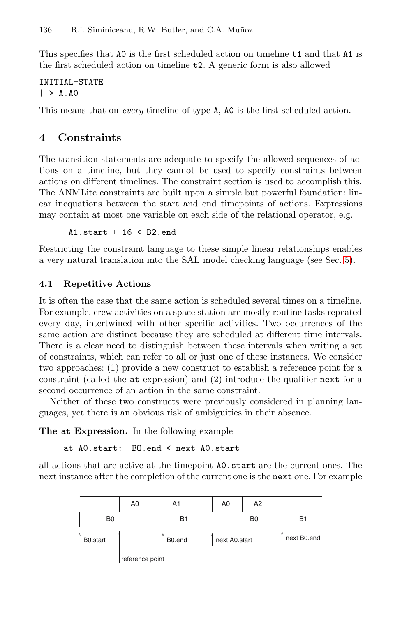This specifies that A0 is the first scheduled action on timeline t1 and that A1 is the first scheduled action on timeline t2. A generic form is also allowed

INITIAL-STATE  $|-> A.A0$ 

This means that on *every* timeline of type A, A0 is the first scheduled action.

## **4 Constraints**

The transition statements are adequate to specify the allowed sequences of actions on a timeline, but they cannot be used to specify constraints between actions on different timelines. The constraint section is used to accomplish this. The ANMLite constraints are built upon a simple but powerful foundation: linear inequations between the start and end timepoints of actions. Expressions may contain at most one variable on each side of the relational operator, e.g.

A1.start + 16 < B2.end

Restricting the constraint language to these simple linear relationships enables a very natural translation into the SAL model checking language (see Sec. [5\)](#page-6-0).

## **4.1 Repetitive Actions**

It is often the case that the same action is scheduled several times on a timeline. For example, crew activities on a space station are mostly routine tasks repeated every day, intertwined with other specific activities. Two occurrences of the same action are distinct because they are scheduled at different time intervals. There is a clear need to distinguish between these intervals when writing a set of constraints, which can refer to all or just one of these instances. We consider two approaches: (1) provide a new construct to establish a reference point for a constraint (called the at expression) and (2) introduce the qualifier next for a second occurrence of an action in the same constraint.

Neither of these two constructs were previously considered in planning languages, yet there is an obvious risk of ambiguities in their absence.

**The** at **Expression.** In the following example

at A0.start: BO.end < next A0.start

all actions that are active at the timepoint A0.start are the current ones. The next instance after the completion of the current one is the next one. For example

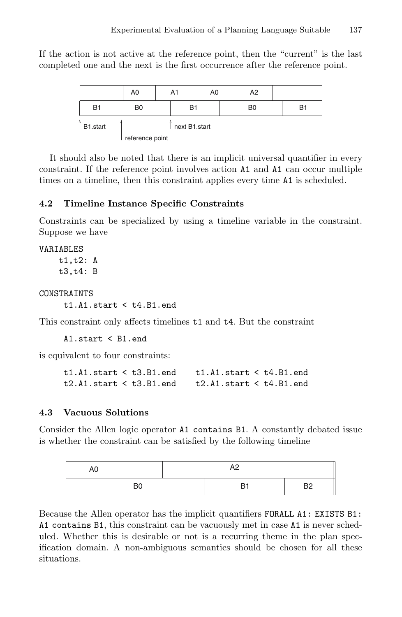If the action is not active at the reference point, then the "current" is the last completed one and the next is the first occurrence after the reference point.

|                 |               | A <sub>0</sub> |  | A1 | A0 |  | A2             |           |  |
|-----------------|---------------|----------------|--|----|----|--|----------------|-----------|--|
| <b>B1</b>       |               | B <sub>0</sub> |  |    | Β1 |  | B <sub>0</sub> | <b>B1</b> |  |
| B1.start        | next B1.start |                |  |    |    |  |                |           |  |
| reference point |               |                |  |    |    |  |                |           |  |

It should also be noted that there is an implicit universal quantifier in every constraint. If the reference point involves action A1 and A1 can occur multiple times on a timeline, then this constraint applies every time A1 is scheduled.

#### **4.2 Timeline Instance Specific Constraints**

Constraints can be specialized by using a timeline variable in the constraint. Suppose we have

VARIABLES

t1,t2: A t3,t4: B

#### CONSTRAINTS

 $t1.A1.start < t4.B1.end$ 

This constraint only affects timelines t1 and t4. But the constraint

A1.start < B1.end

is equivalent to four constraints:

| t1.A1.start < t3.B1.end |  | t1.A1.start < t4.B1.end |  |
|-------------------------|--|-------------------------|--|
| t2.A1.start < t3.B1.end |  | t2.A1.start < t4.B1.end |  |

#### **4.3 Vacuous Solutions**

Consider the Allen logic operator A1 contains B1. A constantly debated issue is whether the constraint can be satisfied by the following timeline

| A <sub>0</sub> |  |  |  |  |
|----------------|--|--|--|--|
|                |  |  |  |  |

Because the Allen operator has the implicit quantifiers FORALL A1: EXISTS B1: A1 contains B1, this constraint can be vacuously met in case A1 is never scheduled. Whether this is desirable or not is a recurring theme in the plan specification domain. A non-ambiguous semantics should be chosen for all these situations.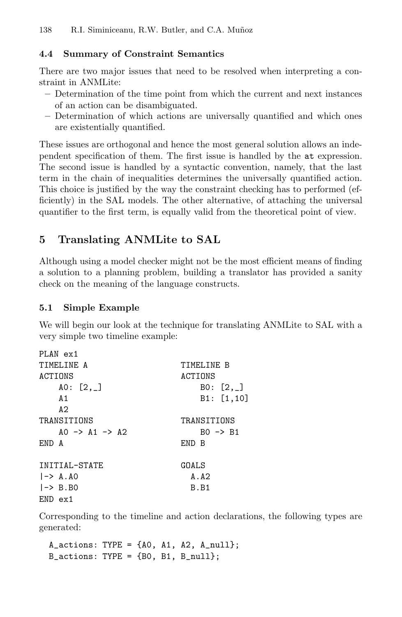#### **4.4 Summary of Constraint Semantics**

There are two major issues that need to be resolved when interpreting a constraint in ANMLite:

- **–** Determination of the time point from which the current and next instances of an action can be disambiguated.
- **–** Determination of which actions are universally quantified and which ones are existentially quantified.

These issues are orthogonal and hence the most general solution allows an independent specification of them. The first issue is handled by the at expression. The second issue is handled by a syntactic convention, namely, that the last term in the chain of inequalities determines the universally quantified action. This choice is justified by the way the constraint checking has to performed (efficiently) in the SAL models. The other alternative, of attaching the universal quantifier to the first term, is equally valid from the theoretical point of view.

## <span id="page-6-0"></span>**5 Translating ANMLite to SAL**

Although using a model checker might not be the most efficient means of finding a solution to a planning problem, building a translator has provided a sanity check on the meaning of the language constructs.

#### **5.1 Simple Example**

We will begin our look at the technique for translating ANMLite to SAL with a very simple two timeline example:

| $PI.AN$ $ex1$                      |                     |  |  |  |
|------------------------------------|---------------------|--|--|--|
| TIMELINE A                         | TIMELINE B          |  |  |  |
| ACTIONS                            | ACTIONS             |  |  |  |
| A0: $[2, 1]$                       | B0: $[2, 1]$        |  |  |  |
| A 1                                | B1: [1, 10]         |  |  |  |
| A2                                 |                     |  |  |  |
| TRANSITIONS                        | TRANSITIONS         |  |  |  |
| $AO \rightarrow A1 \rightarrow A2$ | $RO \rightarrow B1$ |  |  |  |
| F.ND A                             | F.ND B              |  |  |  |
|                                    |                     |  |  |  |
| TNITTAL-STATE                      | GOALS               |  |  |  |
| $\left  \rightarrow A.A0 \right $  | A.A2                |  |  |  |
| $\left  \rightarrow \right $ B.BO  | B.B1                |  |  |  |
| $FND$ ex1                          |                     |  |  |  |

Corresponding to the timeline and action declarations, the following types are generated:

 $A_$ actions: TYPE =  ${AO, A1, A2, A_null};$  $B_$ actions: TYPE =  ${B0, B1, B_$ null};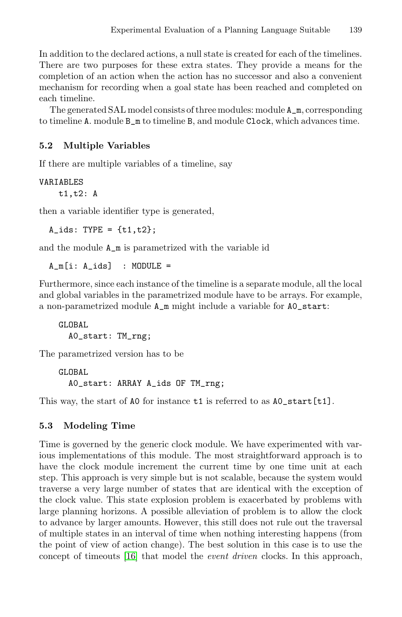In addition to the declared actions, a null state is created for each of the timelines. There are two purposes for these extra states. They provide a means for the completion of an action when the action has no successor and also a convenient mechanism for recording when a goal state has been reached and completed on each timeline.

The generated SAL model consists of three modules: module A\_m, corresponding to timeline A. module B\_m to timeline B, and module Clock, which advances time.

### **5.2 Multiple Variables**

If there are multiple variables of a timeline, say

## VARIABLES

t1,t2: A

then a variable identifier type is generated,

 $A\_ids:$  TYPE =  $\{t1, t2\};$ 

and the module A\_m is parametrized with the variable id

 $A_m[i: A_ids]$  : MODULE =

Furthermore, since each instance of the timeline is a separate module, all the local and global variables in the parametrized module have to be arrays. For example, a non-parametrized module A\_m might include a variable for A0\_start:

GLOBAL A0\_start: TM\_rng;

The parametrized version has to be

GLOBAL A0\_start: ARRAY A\_ids OF TM\_rng;

This way, the start of AO for instance t1 is referred to as  $A0$ \_start[t1].

#### **5.3 Modeling Time**

Time is governed by the generic clock module. We have experimented with various implementations of this module. The most straightforward approach is to have the clock module increment the current time by one time unit at each step. This approach is very simple but is not scalable, because the system would traverse a very large number of states that are identical with the exception of the clock value. This state explosion problem is exacerbated by problems with large planning horizons. A possible alleviation of problem is to allow the clock to advance by larger amounts. However, this still does not rule out the traversal of multiple states in an interval of time when nothing interesting happens (from the point of view of action change). The best solution in this case is to use the concept of timeouts [\[16\]](#page-14-19) that model the *event driven* clocks. In this approach,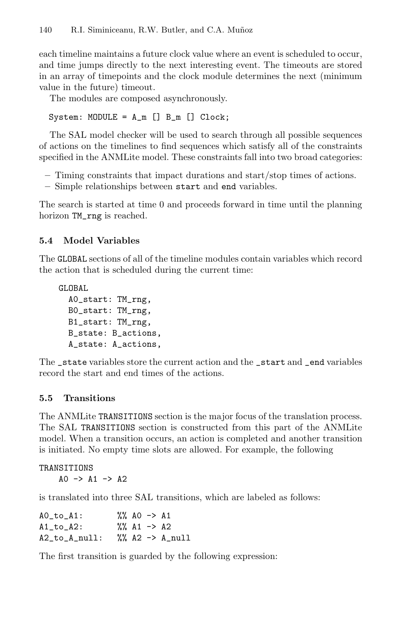each timeline maintains a future clock value where an event is scheduled to occur, and time jumps directly to the next interesting event. The timeouts are stored in an array of timepoints and the clock module determines the next (minimum value in the future) timeout.

The modules are composed asynchronously.

System: MODULE = A\_m [] B\_m [] Clock;

The SAL model checker will be used to search through all possible sequences of actions on the timelines to find sequences which satisfy all of the constraints specified in the ANMLite model. These constraints fall into two broad categories:

- **–** Timing constraints that impact durations and start/stop times of actions.
- **–** Simple relationships between start and end variables.

The search is started at time 0 and proceeds forward in time until the planning horizon **TM\_rng** is reached.

## **5.4 Model Variables**

The GLOBAL sections of all of the timeline modules contain variables which record the action that is scheduled during the current time:

```
GLOBAL
A0_start: TM_rng,
B0_start: TM_rng,
B1_start: TM_rng,
B_state: B_actions,
A_state: A_actions,
```
The \_state variables store the current action and the \_start and \_end variables record the start and end times of the actions.

#### **5.5 Transitions**

The ANMLite TRANSITIONS section is the major focus of the translation process. The SAL TRANSITIONS section is constructed from this part of the ANMLite model. When a transition occurs, an action is completed and another transition is initiated. No empty time slots are allowed. For example, the following

TRANSITIONS  $AO \rightarrow A1 \rightarrow A2$ 

is translated into three SAL transitions, which are labeled as follows:

| $A0_t$ to $A1$ :     | $\frac{9}{6}$ AO -> A1     |
|----------------------|----------------------------|
| $A1_to_A2$ :         | $\frac{9.}{6}$ A1 -> A2    |
| $A2$ _to_ $A$ _null: | %% A2 $\rightarrow$ A null |

The first transition is guarded by the following expression: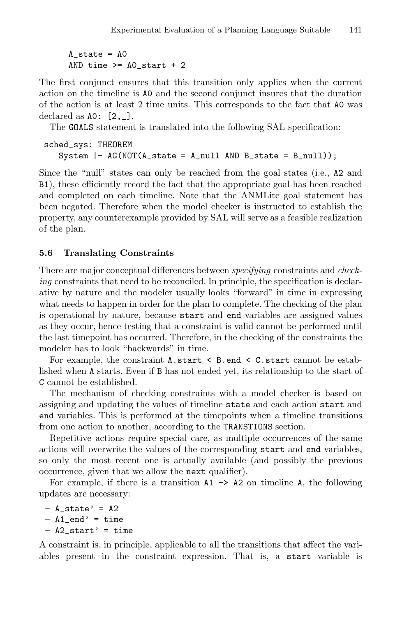$A_$ state =  $AO$ AND time  $>=$  AO\_start + 2

The first conjunct ensures that this transition only applies when the current action on the timeline is A0 and the second conjunct insures that the duration of the action is at least 2 time units. This corresponds to the fact that A0 was declared as  $A0: [2, 1]$ .

The GOALS statement is translated into the following SAL specification:

```
sched_sys: THEOREM
 System |- AG(NOT(A_state = A_null AND B_state = B_null));
```
Since the "null" states can only be reached from the goal states (i.e., A2 and B1), these efficiently record the fact that the appropriate goal has been reached and completed on each timeline. Note that the ANMLite goal statement has been negated. Therefore when the model checker is instructed to establish the property, any counterexample provided by SAL will serve as a feasible realization of the plan.

#### **5.6 Translating Constraints**

There are major conceptual differences between *specifying* constraints and *checking* constraints that need to be reconciled. In principle, the specification is declarative by nature and the modeler usually looks "forward" in time in expressing what needs to happen in order for the plan to complete. The checking of the plan is operational by nature, because start and end variables are assigned values as they occur, hence testing that a constraint is valid cannot be performed until the last timepoint has occurred. Therefore, in the checking of the constraints the modeler has to look "backwards" in time.

For example, the constraint A.start < B.end < C.start cannot be established when A starts. Even if B has not ended yet, its relationship to the start of C cannot be established.

The mechanism of checking constraints with a model checker is based on assigning and updating the values of timeline state and each action start and end variables. This is performed at the timepoints when a timeline transitions from one action to another, according to the TRANSTIONS section.

Repetitive actions require special care, as multiple occurrences of the same actions will overwrite the values of the corresponding start and end variables, so only the most recent one is actually available (and possibly the previous occurrence, given that we allow the next qualifier).

For example, if there is a transition  $A1 \rightarrow A2$  on timeline A, the following updates are necessary:

**–** A\_state' = A2 **–** A1\_end' = time **–** A2\_start' = time

A constraint is, in principle, applicable to all the transitions that affect the variables present in the constraint expression. That is, a start variable is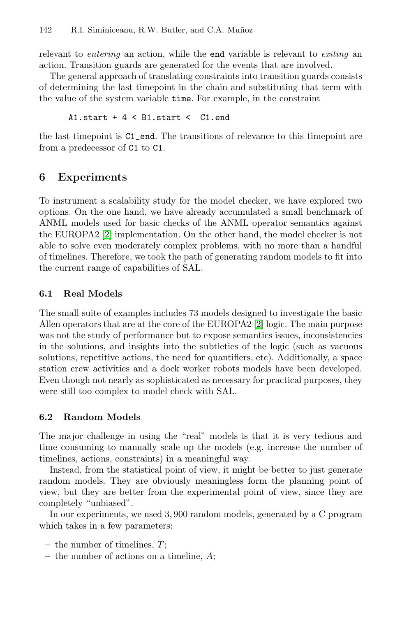relevant to *entering* an action, while the end variable is relevant to *exiting* an action. Transition guards are generated for the events that are involved.

The general approach of translating constraints into transition guards consists of determining the last timepoint in the chain and substituting that term with the value of the system variable time. For example, in the constraint

```
A1.start + 4 < B1.start < C1.end
```
the last timepoint is C1\_end. The transitions of relevance to this timepoint are from a predecessor of C1 to C1.

## **6 Experiments**

To instrument a scalability study for the model checker, we have explored two options. On the one hand, we have already accumulated a small benchmark of ANML models used for basic checks of the ANML operator semantics against the EUROPA2 [\[2\]](#page-14-5) implementation. On the other hand, the model checker is not able to solve even moderately complex problems, with no more than a handful of timelines. Therefore, we took the path of generating random models to fit into the current range of capabilities of SAL.

### **6.1 Real Models**

The small suite of examples includes 73 models designed to investigate the basic Allen operators that are at the core of the EUROPA2 [\[2\]](#page-14-5) logic. The main purpose was not the study of performance but to expose semantics issues, inconsistencies in the solutions, and insights into the subtleties of the logic (such as vacuous solutions, repetitive actions, the need for quantifiers, etc). Additionally, a space station crew activities and a dock worker robots models have been developed. Even though not nearly as sophisticated as necessary for practical purposes, they were still too complex to model check with SAL.

## **6.2 Random Models**

The major challenge in using the "real" models is that it is very tedious and time consuming to manually scale up the models (e.g. increase the number of timelines, actions, constraints) in a meaningful way.

Instead, from the statistical point of view, it might be better to just generate random models. They are obviously meaningless form the planning point of view, but they are better from the experimental point of view, since they are completely "unbiased".

In our experiments, we used 3*,* 900 random models, generated by a C program which takes in a few parameters:

- **–** the number of timelines, *T* ;
- **–** the number of actions on a timeline, *A*;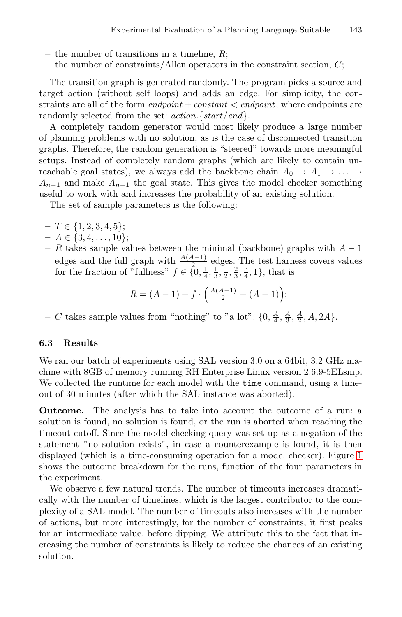- **–** the number of transitions in a timeline, *R*;
- **–** the number of constraints/Allen operators in the constraint section, *C*;

The transition graph is generated randomly. The program picks a source and target action (without self loops) and adds an edge. For simplicity, the constraints are all of the form *endpoint* + *constant < endpoint*, where endpoints are randomly selected from the set: *action.*{*start/end*}.

A completely random generator would most likely produce a large number of planning problems with no solution, as is the case of disconnected transition graphs. Therefore, the random generation is "steered" towards more meaningful setups. Instead of completely random graphs (which are likely to contain unreachable goal states), we always add the backbone chain  $A_0 \rightarrow A_1 \rightarrow \ldots \rightarrow$  $A_{n-1}$  and make  $A_{n-1}$  the goal state. This gives the model checker something useful to work with and increases the probability of an existing solution.

The set of sample parameters is the following:

- $T \in \{1, 2, 3, 4, 5\};$
- $A \in \{3, 4, \ldots, 10\};$
- **–** *R* takes sample values between the minimal (backbone) graphs with *A* − 1 edges and the full graph with  $\frac{A(A-1)}{2}$  edges. The test harness covers values for the fraction of "fullness"  $f \in \{0, \frac{1}{4}, \frac{1}{3}, \frac{1}{2}, \frac{2}{3}, \frac{3}{4}, 1\}$ , that is

$$
R = (A - 1) + f \cdot \left(\frac{A(A - 1)}{2} - (A - 1)\right);
$$

 $-C$  takes sample values from "nothing" to "a lot":  $\{0, \frac{A}{4}, \frac{A}{3}, \frac{A}{2}, A, 2A\}$ .

#### **6.3 Results**

We ran our batch of experiments using SAL version 3.0 on a 64bit, 3.2 GHz machine with 8GB of memory running RH Enterprise Linux version 2.6.9-5ELsmp. We collected the runtime for each model with the time command, using a timeout of 30 minutes (after which the SAL instance was aborted).

**Outcome.** The analysis has to take into account the outcome of a run: a solution is found, no solution is found, or the run is aborted when reaching the timeout cutoff. Since the model checking query was set up as a negation of the statement "no solution exists", in case a counterexample is found, it is then displayed (which is a time-consuming operation for a model checker). Figure [1](#page-12-0) shows the outcome breakdown for the runs, function of the four parameters in the experiment.

We observe a few natural trends. The number of timeouts increases dramatically with the number of timelines, which is the largest contributor to the complexity of a SAL model. The number of timeouts also increases with the number of actions, but more interestingly, for the number of constraints, it first peaks for an intermediate value, before dipping. We attribute this to the fact that increasing the number of constraints is likely to reduce the chances of an existing solution.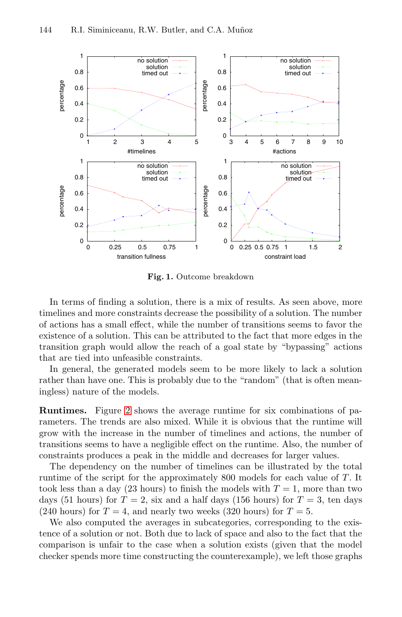

<span id="page-12-0"></span>**Fig. 1.** Outcome breakdown

In terms of finding a solution, there is a mix of results. As seen above, more timelines and more constraints decrease the possibility of a solution. The number of actions has a small effect, while the number of transitions seems to favor the existence of a solution. This can be attributed to the fact that more edges in the transition graph would allow the reach of a goal state by "bypassing" actions that are tied into unfeasible constraints.

In general, the generated models seem to be more likely to lack a solution rather than have one. This is probably due to the "random" (that is often meaningless) nature of the models.

**Runtimes.** Figure [2](#page-13-0) shows the average runtime for six combinations of parameters. The trends are also mixed. While it is obvious that the runtime will grow with the increase in the number of timelines and actions, the number of transitions seems to have a negligible effect on the runtime. Also, the number of constraints produces a peak in the middle and decreases for larger values.

The dependency on the number of timelines can be illustrated by the total runtime of the script for the approximately 800 models for each value of *T* . It took less than a day (23 hours) to finish the models with  $T = 1$ , more than two days (51 hours) for  $T = 2$ , six and a half days (156 hours) for  $T = 3$ , ten days (240 hours) for  $T = 4$ , and nearly two weeks (320 hours) for  $T = 5$ .

We also computed the averages in subcategories, corresponding to the existence of a solution or not. Both due to lack of space and also to the fact that the comparison is unfair to the case when a solution exists (given that the model checker spends more time constructing the counterexample), we left those graphs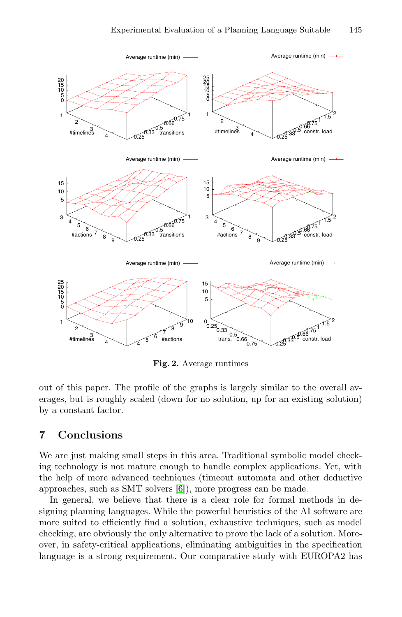

<span id="page-13-0"></span>**Fig. 2.** Average runtimes

out of this paper. The profile of the graphs is largely similar to the overall averages, but is roughly scaled (down for no solution, up for an existing solution) by a constant factor.

## **7 Conclusions**

We are just making small steps in this area. Traditional symbolic model checking technology is not mature enough to handle complex applications. Yet, with the help of more advanced techniques (timeout automata and other deductive approaches, such as SMT solvers [\[6\]](#page-14-20)), more progress can be made.

In general, we believe that there is a clear role for formal methods in designing planning languages. While the powerful heuristics of the AI software are more suited to efficiently find a solution, exhaustive techniques, such as model checking, are obviously the only alternative to prove the lack of a solution. Moreover, in safety-critical applications, eliminating ambiguities in the specification language is a strong requirement. Our comparative study with EUROPA2 has